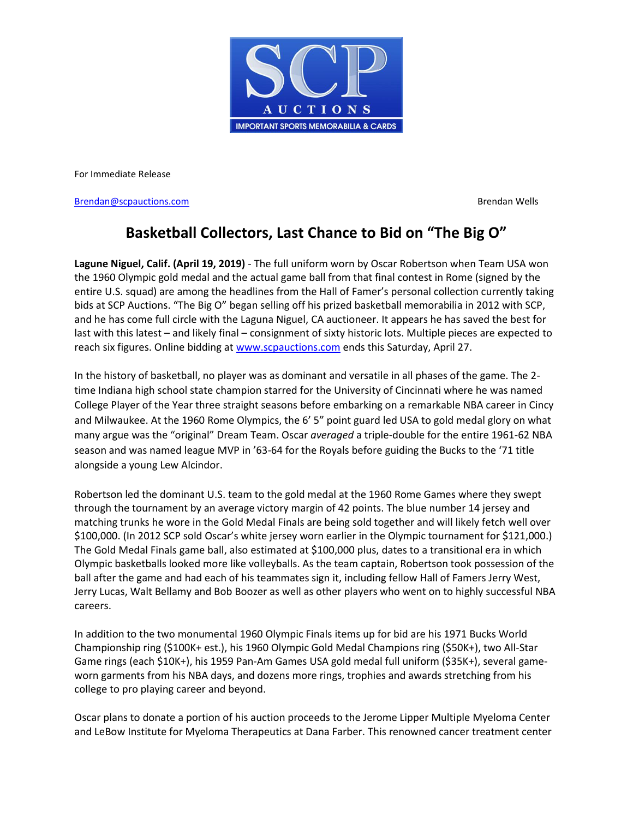

For Immediate Release

**[Brendan@scpauctions.com](mailto:Brendan@scpauctions.com)** Brendan Wells

## **Basketball Collectors, Last Chance to Bid on "The Big O"**

**Lagune Niguel, Calif. (April 19, 2019)** - The full uniform worn by Oscar Robertson when Team USA won the 1960 Olympic gold medal and the actual game ball from that final contest in Rome (signed by the entire U.S. squad) are among the headlines from the Hall of Famer's personal collection currently taking bids at SCP Auctions. "The Big O" began selling off his prized basketball memorabilia in 2012 with SCP, and he has come full circle with the Laguna Niguel, CA auctioneer. It appears he has saved the best for last with this latest – and likely final – consignment of sixty historic lots. Multiple pieces are expected to reach six figures. Online bidding at [www.scpauctions.com](http://www.scpauctions.com/) ends this Saturday, April 27.

In the history of basketball, no player was as dominant and versatile in all phases of the game. The 2 time Indiana high school state champion starred for the University of Cincinnati where he was named College Player of the Year three straight seasons before embarking on a remarkable NBA career in Cincy and Milwaukee. At the 1960 Rome Olympics, the 6' 5" point guard led USA to gold medal glory on what many argue was the "original" Dream Team. Oscar *averaged* a triple-double for the entire 1961-62 NBA season and was named league MVP in '63-64 for the Royals before guiding the Bucks to the '71 title alongside a young Lew Alcindor.

Robertson led the dominant U.S. team to the gold medal at the 1960 Rome Games where they swept through the tournament by an average victory margin of 42 points. The blue number 14 jersey and matching trunks he wore in the Gold Medal Finals are being sold together and will likely fetch well over \$100,000. (In 2012 SCP sold Oscar's white jersey worn earlier in the Olympic tournament for \$121,000.) The Gold Medal Finals game ball, also estimated at \$100,000 plus, dates to a transitional era in which Olympic basketballs looked more like volleyballs. As the team captain, Robertson took possession of the ball after the game and had each of his teammates sign it, including fellow Hall of Famers Jerry West, Jerry Lucas, Walt Bellamy and Bob Boozer as well as other players who went on to highly successful NBA careers.

In addition to the two monumental 1960 Olympic Finals items up for bid are his 1971 Bucks World Championship ring (\$100K+ est.), his 1960 Olympic Gold Medal Champions ring (\$50K+), two All-Star Game rings (each \$10K+), his 1959 Pan-Am Games USA gold medal full uniform (\$35K+), several gameworn garments from his NBA days, and dozens more rings, trophies and awards stretching from his college to pro playing career and beyond.

Oscar plans to donate a portion of his auction proceeds to the Jerome Lipper Multiple Myeloma Center and LeBow Institute for Myeloma Therapeutics at Dana Farber. This renowned cancer treatment center